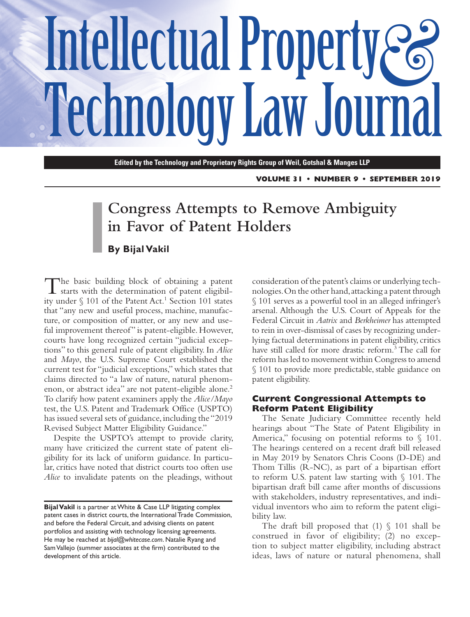# Intellectual Property & **Technology Law Journal**

**Edited by the Technology and Proprietary Rights Group of Weil, Gotshal & Manges LLP**

**VOLUME 31 • NUMBER 9 • SEPTEMBER 2019**

# **Congress Attempts to Remove Ambiguity in Favor of Patent Holders**

## **By Bijal Vakil**

The basic building block of obtaining a patent starts with the determination of patent eligibility under § 101 of the Patent Act.<sup>1</sup> Section 101 states that "any new and useful process, machine, manufacture, or composition of matter, or any new and useful improvement thereof" is patent-eligible. However, courts have long recognized certain "judicial exceptions" to this general rule of patent eligibility. In *Alice* and *Mayo*, the U.S. Supreme Court established the current test for "judicial exceptions," which states that claims directed to "a law of nature, natural phenomenon, or abstract idea" are not patent-eligible alone.<sup>2</sup> To clarify how patent examiners apply the *Alice/Mayo* test, the U.S. Patent and Trademark Office (USPTO) has issued several sets of guidance, including the "2019 Revised Subject Matter Eligibility Guidance."

Despite the USPTO's attempt to provide clarity, many have criticized the current state of patent eligibility for its lack of uniform guidance. In particular, critics have noted that district courts too often use *Alice* to invalidate patents on the pleadings, without

consideration of the patent's claims or underlying technologies. On the other hand, attacking a patent through § 101 serves as a powerful tool in an alleged infringer's arsenal. Although the U.S. Court of Appeals for the Federal Circuit in *Aatrix* and *Berkheimer* has attempted to rein in over-dismissal of cases by recognizing underlying factual determinations in patent eligibility, critics have still called for more drastic reform.3 The call for reform has led to movement within Congress to amend § 101 to provide more predictable, stable guidance on patent eligibility.

#### **Current Congressional Attempts to Reform Patent Eligibility**

The Senate Judiciary Committee recently held hearings about "The State of Patent Eligibility in America," focusing on potential reforms to  $\S$  101. The hearings centered on a recent draft bill released in May 2019 by Senators Chris Coons (D-DE) and Thom Tillis (R-NC), as part of a bipartisan effort to reform U.S. patent law starting with § 101. The bipartisan draft bill came after months of discussions with stakeholders, industry representatives, and individual inventors who aim to reform the patent eligibility law.

The draft bill proposed that  $(1) \S 101$  shall be construed in favor of eligibility; (2) no exception to subject matter eligibility, including abstract ideas, laws of nature or natural phenomena, shall

**Bijal Vakil** is a partner at White & Case LLP litigating complex patent cases in district courts, the International Trade Commission, and before the Federal Circuit, and advising clients on patent portfolios and assisting with technology licensing agreements. He may be reached at *[bijal@whitecase.com](mailto:bijal@whitecase.com)*. Natalie Ryang and Sam Vallejo (summer associates at the firm) contributed to the development of this article.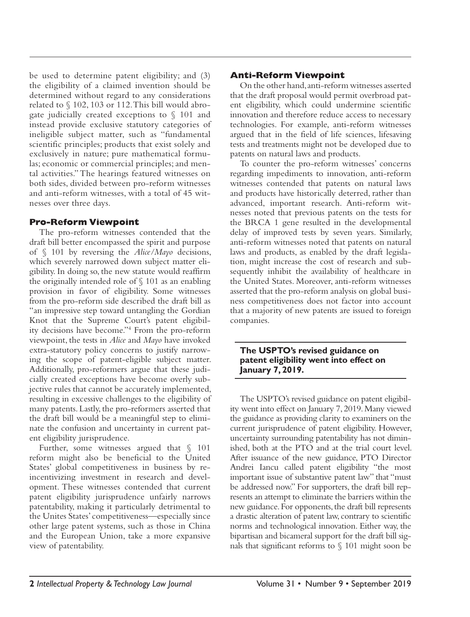be used to determine patent eligibility; and (3) the eligibility of a claimed invention should be determined without regard to any considerations related to § 102, 103 or 112. This bill would abrogate judicially created exceptions to § 101 and instead provide exclusive statutory categories of ineligible subject matter, such as "fundamental scientific principles; products that exist solely and exclusively in nature; pure mathematical formulas; economic or commercial principles; and mental activities." The hearings featured witnesses on both sides, divided between pro-reform witnesses and anti-reform witnesses, with a total of 45 witnesses over three days.

#### **Pro-Reform Viewpoint**

The pro-reform witnesses contended that the draft bill better encompassed the spirit and purpose of § 101 by reversing the *Alice/Mayo* decisions, which severely narrowed down subject matter eligibility. In doing so, the new statute would reaffirm the originally intended role of § 101 as an enabling provision in favor of eligibility. Some witnesses from the pro-reform side described the draft bill as "an impressive step toward untangling the Gordian Knot that the Supreme Court's patent eligibility decisions have become."4 From the pro-reform viewpoint, the tests in *Alice* and *Mayo* have invoked extra-statutory policy concerns to justify narrowing the scope of patent-eligible subject matter. Additionally, pro-reformers argue that these judicially created exceptions have become overly subjective rules that cannot be accurately implemented, resulting in excessive challenges to the eligibility of many patents. Lastly, the pro-reformers asserted that the draft bill would be a meaningful step to eliminate the confusion and uncertainty in current patent eligibility jurisprudence.

Further, some witnesses argued that § 101 reform might also be beneficial to the United States' global competitiveness in business by reincentivizing investment in research and development. These witnesses contended that current patent eligibility jurisprudence unfairly narrows patentability, making it particularly detrimental to the Unites States' competitiveness—especially since other large patent systems, such as those in China and the European Union, take a more expansive view of patentability.

## **Anti-Reform Viewpoint**

On the other hand, anti-reform witnesses asserted that the draft proposal would permit overbroad patent eligibility, which could undermine scientific innovation and therefore reduce access to necessary technologies. For example, anti-reform witnesses argued that in the field of life sciences, lifesaving tests and treatments might not be developed due to patents on natural laws and products.

To counter the pro-reform witnesses' concerns regarding impediments to innovation, anti-reform witnesses contended that patents on natural laws and products have historically deterred, rather than advanced, important research. Anti-reform witnesses noted that previous patents on the tests for the BRCA 1 gene resulted in the developmental delay of improved tests by seven years. Similarly, anti-reform witnesses noted that patents on natural laws and products, as enabled by the draft legislation, might increase the cost of research and subsequently inhibit the availability of healthcare in the United States. Moreover, anti-reform witnesses asserted that the pro-reform analysis on global business competitiveness does not factor into account that a majority of new patents are issued to foreign companies.

#### **The USPTO's revised guidance on patent eligibility went into effect on January 7, 2019.**

The USPTO's revised guidance on patent eligibility went into effect on January 7, 2019. Many viewed the guidance as providing clarity to examiners on the current jurisprudence of patent eligibility. However, uncertainty surrounding patentability has not diminished, both at the PTO and at the trial court level. After issuance of the new guidance, PTO Director Andrei Iancu called patent eligibility "the most important issue of substantive patent law" that "must be addressed now." For supporters, the draft bill represents an attempt to eliminate the barriers within the new guidance. For opponents, the draft bill represents a drastic alteration of patent law, contrary to scientific norms and technological innovation. Either way, the bipartisan and bicameral support for the draft bill signals that significant reforms to § 101 might soon be